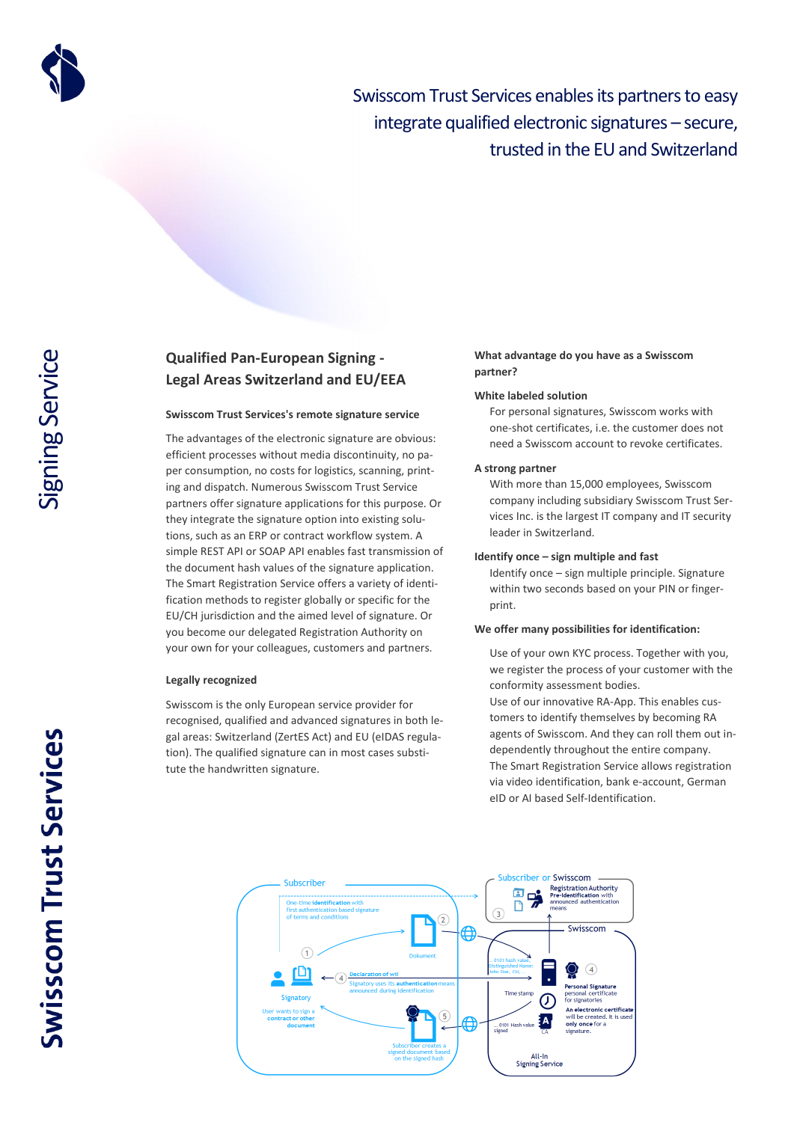

Swisscom Trust Services enables its partners to easy integrate qualified electronic signatures – secure, trusted in the EU and Switzerland

# **Qualified Pan-European Signing - Legal Areas Switzerland and EU/EEA**

# **Swisscom Trust Services's remote signature service**

The advantages of the electronic signature are obvious: efficient processes without media discontinuity, no paper consumption, no costs for logistics, scanning, printing and dispatch. Numerous Swisscom Trust Service partners offer signature applications for this purpose. Or they integrate the signature option into existing solutions, such as an ERP or contract workflow system. A simple REST API or SOAP API enables fast transmission of the document hash values of the signature application. The Smart Registration Service offers a variety of identification methods to register globally or specific for the EU/CH jurisdiction and the aimed level of signature. Or you become our delegated Registration Authority on your own for your colleagues, customers and partners.

## **Legally recognized**

Swisscom is the only European service provider for recognised, qualified and advanced signatures in both legal areas: Switzerland (ZertES Act) and EU (eIDAS regulation). The qualified signature can in most cases substitute the handwritten signature.

# **What advantage do you have as a Swisscom partner?**

#### **White labeled solution**

For personal signatures, Swisscom works with one-shot certificates, i.e. the customer does not need a Swisscom account to revoke certificates.

#### **A strong partner**

With more than 15,000 employees, Swisscom company including subsidiary Swisscom Trust Services Inc. is the largest IT company and IT security leader in Switzerland.

#### **Identify once – sign multiple and fast**

Identify once – sign multiple principle. Signature within two seconds based on your PIN or fingerprint.

## **We offer many possibilities for identification:**

Use of your own KYC process. Together with you, we register the process of your customer with the conformity assessment bodies.

Use of our innovative RA-App. This enables customers to identify themselves by becoming RA agents of Swisscom. And they can roll them out independently throughout the entire company. The Smart Registration Service allows registration via video identification, bank e-account, German eID or AI based Self-Identification.